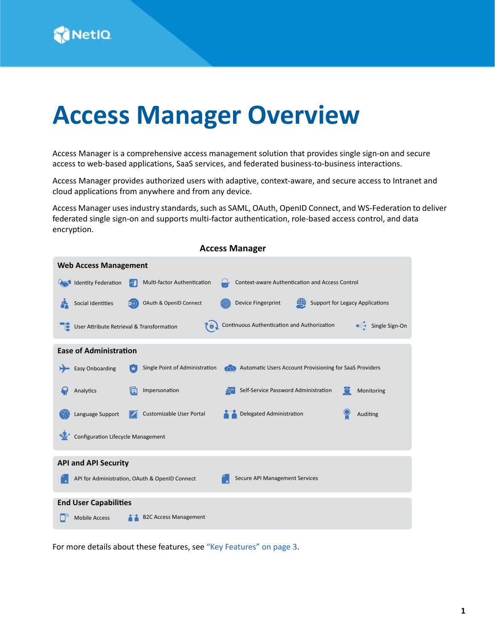# **Access Manager Overview**

Access Manager is a comprehensive access management solution that provides single sign-on and secure access to web-based applications, SaaS services, and federated business-to-business interactions.

Access Manager provides authorized users with adaptive, context-aware, and secure access to Intranet and cloud applications from anywhere and from any device.

Access Manager uses industry standards, such as SAML, OAuth, OpenID Connect, and WS-Federation to deliver federated single sign-on and supports multi-factor authentication, role-based access control, and data encryption.

| <b>Access Manager</b>                                                                                                 |  |  |
|-----------------------------------------------------------------------------------------------------------------------|--|--|
| <b>Web Access Management</b>                                                                                          |  |  |
| <b>Identity Federation</b><br>Multi-factor Authentication<br>Context-aware Authentication and Access Control<br>ŀП    |  |  |
| <b>Support for Legacy Applications</b><br>OAuth & OpenID Connect<br>Device Fingerprint<br>Social Identities           |  |  |
| Continuous Authentication and Authorization<br>● Single Sign-On<br>User Attribute Retrieval & Transformation<br>[ 6 J |  |  |
| <b>Ease of Administration</b>                                                                                         |  |  |
| <b>Easy Onboarding</b><br>Single Point of Administration<br>Automatic Users Account Provisioning for SaaS Providers   |  |  |
| Self-Service Password Administration<br>Impersonation<br>Analytics<br>VΣ<br>Monitoring                                |  |  |
| Delegated Administration<br>Customizable User Portal<br>Language Support<br>Auditing                                  |  |  |
| <b>Configuration Lifecycle Management</b>                                                                             |  |  |
| <b>API and API Security</b>                                                                                           |  |  |
| Secure API Management Services<br>API for Administration, OAuth & OpenID Connect                                      |  |  |
| <b>End User Capabilities</b>                                                                                          |  |  |
| <b>Mobile Access</b><br><b>B2C Access Management</b>                                                                  |  |  |

For more details about these features, see ["Key Features" on page 3.](#page-2-0)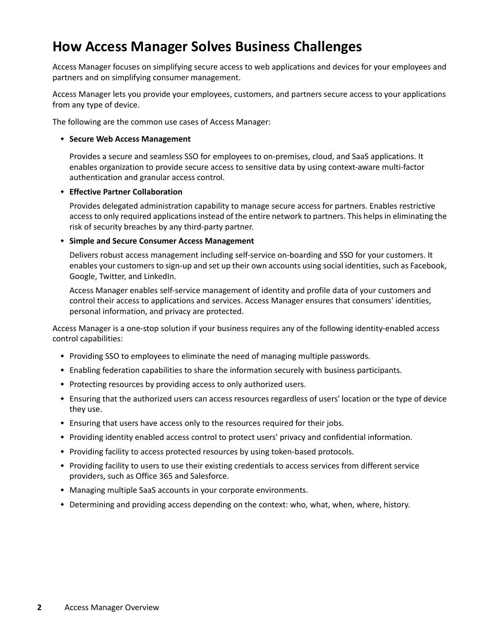# **How Access Manager Solves Business Challenges**

Access Manager focuses on simplifying secure access to web applications and devices for your employees and partners and on simplifying consumer management.

Access Manager lets you provide your employees, customers, and partners secure access to your applications from any type of device.

The following are the common use cases of Access Manager:

### **Secure Web Access Management**

Provides a secure and seamless SSO for employees to on-premises, cloud, and SaaS applications. It enables organization to provide secure access to sensitive data by using context-aware multi-factor authentication and granular access control.

### **Effective Partner Collaboration**

Provides delegated administration capability to manage secure access for partners. Enables restrictive access to only required applications instead of the entire network to partners. This helps in eliminating the risk of security breaches by any third-party partner.

### **Simple and Secure Consumer Access Management**

Delivers robust access management including self-service on-boarding and SSO for your customers. It enables your customers to sign-up and set up their own accounts using social identities, such as Facebook, Google, Twitter, and LinkedIn.

Access Manager enables self-service management of identity and profile data of your customers and control their access to applications and services. Access Manager ensures that consumers' identities, personal information, and privacy are protected.

Access Manager is a one-stop solution if your business requires any of the following identity-enabled access control capabilities:

- Providing SSO to employees to eliminate the need of managing multiple passwords.
- Enabling federation capabilities to share the information securely with business participants.
- Protecting resources by providing access to only authorized users.
- Ensuring that the authorized users can access resources regardless of users' location or the type of device they use.
- Ensuring that users have access only to the resources required for their jobs.
- Providing identity enabled access control to protect users' privacy and confidential information.
- Providing facility to access protected resources by using token-based protocols.
- Providing facility to users to use their existing credentials to access services from different service providers, such as Office 365 and Salesforce.
- Managing multiple SaaS accounts in your corporate environments.
- Determining and providing access depending on the context: who, what, when, where, history.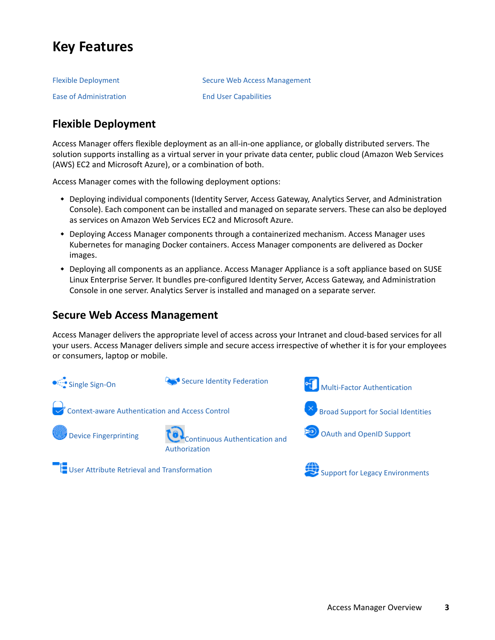# <span id="page-2-0"></span>**Key Features**

| <b>Flexible Deployment</b> | Secure Web Access Management |
|----------------------------|------------------------------|
| Ease of Administration     | <b>End User Capabilities</b> |

# <span id="page-2-1"></span>**Flexible Deployment**

Access Manager offers flexible deployment as an all-in-one appliance, or globally distributed servers. The solution supports installing as a virtual server in your private data center, public cloud (Amazon Web Services (AWS) EC2 and Microsoft Azure), or a combination of both.

Access Manager comes with the following deployment options:

- Deploying individual components (Identity Server, Access Gateway, Analytics Server, and Administration Console). Each component can be installed and managed on separate servers. These can also be deployed as services on Amazon Web Services EC2 and Microsoft Azure.
- Deploying Access Manager components through a containerized mechanism. Access Manager uses Kubernetes for managing Docker containers. Access Manager components are delivered as Docker images.
- Deploying all components as an appliance. Access Manager Appliance is a soft appliance based on SUSE Linux Enterprise Server. It bundles pre-configured Identity Server, Access Gateway, and Administration Console in one server. Analytics Server is installed and managed on a separate server.

### <span id="page-2-2"></span>**Secure Web Access Management**

Access Manager delivers the appropriate level of access across your Intranet and cloud-based services for all your users. Access Manager delivers simple and secure access irrespective of whether it is for your employees or consumers, laptop or mobile.

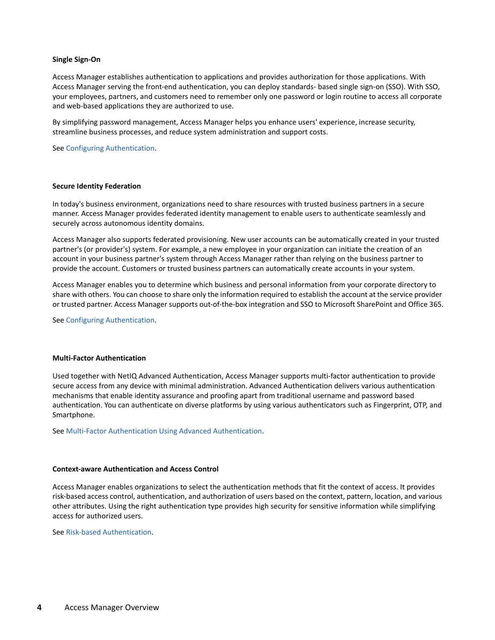#### <span id="page-3-0"></span>**Single Sign-On**

Access Manager establishes authentication to applications and provides authorization for those applications. With Access Manager serving the front-end authentication, you can deploy standards- based single sign-on (SSO). With SSO, your employees, partners, and customers need to remember only one password or login routine to access all corporate and web-based applications they are authorized to use.

By simplifying password management, Access Manager helps you enhance users' experience, increase security, streamline business processes, and reduce system administration and support costs.

See [Configuring Authentication](https://www.microfocus.com/documentation/access-manager/5.0/pdfdoc/admin/admin.pdf#b137p6z6).

#### <span id="page-3-1"></span>**Secure Identity Federation**

In today's business environment, organizations need to share resources with trusted business partners in a secure manner. Access Manager provides federated identity management to enable users to authenticate seamlessly and securely across autonomous identity domains.

Access Manager also supports federated provisioning. New user accounts can be automatically created in your trusted partner's (or provider's) system. For example, a new employee in your organization can initiate the creation of an account in your business partner's system through Access Manager rather than relying on the business partner to provide the account. Customers or trusted business partners can automatically create accounts in your system.

Access Manager enables you to determine which business and personal information from your corporate directory to share with others. You can choose to share only the information required to establish the account at the service provider or trusted partner. Access Manager supports out-of-the-box integration and SSO to Microsoft SharePoint and Office 365.

See [Configuring Authentication](https://www.microfocus.com/documentation/access-manager/5.0/pdfdoc/admin/admin.pdf#b137p6z6).

#### <span id="page-3-2"></span>**Multi-Factor Authentication**

Used together with NetIQ Advanced Authentication, Access Manager supports multi-factor authentication to provide secure access from any device with minimal administration. Advanced Authentication delivers various authentication mechanisms that enable identity assurance and proofing apart from traditional username and password based authentication. You can authenticate on diverse platforms by using various authenticators such as Fingerprint, OTP, and Smartphone.

See [Multi-Factor Authentication Using Advanced Authentication](https://www.microfocus.com/documentation/access-manager/5.0/pdfdoc/nam_aa_integration_guide/nam_aa_integration_guide.pdf#namaaintegrationguide).

#### <span id="page-3-3"></span>**Context-aware Authentication and Access Control**

Access Manager enables organizations to select the authentication methods that fit the context of access. It provides risk-based access control, authentication, and authorization of users based on the context, pattern, location, and various other attributes. Using the right authentication type provides high security for sensitive information while simplifying access for authorized users.

See [Risk-based Authentication.](https://www.microfocus.com/documentation/access-manager/5.0/pdfdoc/admin/admin.pdf#b1dg0omz)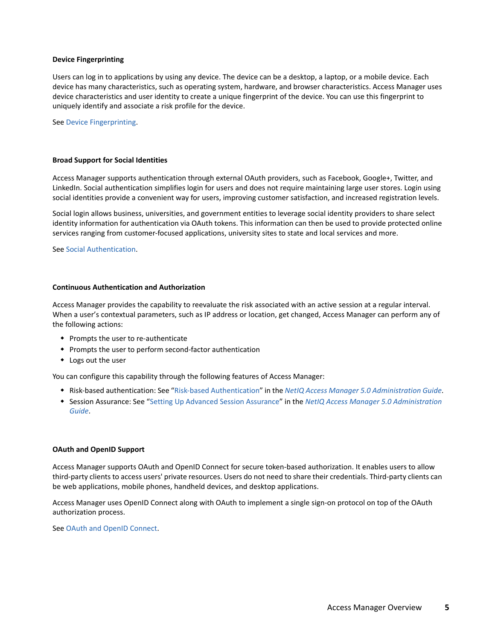#### <span id="page-4-1"></span>**Device Fingerprinting**

Users can log in to applications by using any device. The device can be a desktop, a laptop, or a mobile device. Each device has many characteristics, such as operating system, hardware, and browser characteristics. Access Manager uses device characteristics and user identity to create a unique fingerprint of the device. You can use this fingerprint to uniquely identify and associate a risk profile for the device.

See [Device Fingerprinting](https://www.microfocus.com/documentation/access-manager/5.0/pdfdoc/admin/admin.pdf#devicefingerprint).

#### <span id="page-4-0"></span>**Broad Support for Social Identities**

Access Manager supports authentication through external OAuth providers, such as Facebook, Google+, Twitter, and LinkedIn. Social authentication simplifies login for users and does not require maintaining large user stores. Login using social identities provide a convenient way for users, improving customer satisfaction, and increased registration levels.

Social login allows business, universities, and government entities to leverage social identity providers to share select identity information for authentication via OAuth tokens. This information can then be used to provide protected online services ranging from customer-focused applications, university sites to state and local services and more.

See [Social Authentication.](https://www.microfocus.com/documentation/access-manager/5.0/pdfdoc/admin/admin.pdf#b1ac07ic)

#### <span id="page-4-2"></span>**Continuous Authentication and Authorization**

Access Manager provides the capability to reevaluate the risk associated with an active session at a regular interval. When a user's contextual parameters, such as IP address or location, get changed, Access Manager can perform any of the following actions:

- Prompts the user to re-authenticate
- Prompts the user to perform second-factor authentication
- Logs out the user

You can configure this capability through the following features of Access Manager:

- Risk-based authentication: See "[Risk-based Authentication](https://www.microfocus.com/documentation/access-manager/5.0/pdfdoc/admin/admin.pdf#b1dg0omz)" in the *[NetIQ Access Manager 5.0 Administration Guide](https://www.microfocus.com/documentation/access-manager/5.0/pdfdoc/admin/admin.pdf#bookinfo)*.
- Session Assurance: See "[Setting Up Advanced Session Assurance"](https://www.microfocus.com/documentation/access-manager/5.0/pdfdoc/admin/admin.pdf#advsessionassurance) in the *[NetIQ Access Manager 5.0 Administration](https://www.microfocus.com/documentation/access-manager/5.0/pdfdoc/admin/admin.pdf#bookinfo)  [Guide](https://www.microfocus.com/documentation/access-manager/5.0/pdfdoc/admin/admin.pdf#bookinfo)*.

#### <span id="page-4-3"></span>**OAuth and OpenID Support**

Access Manager supports OAuth and OpenID Connect for secure token-based authorization. It enables users to allow third-party clients to access users' private resources. Users do not need to share their credentials. Third-party clients can be web applications, mobile phones, handheld devices, and desktop applications.

Access Manager uses OpenID Connect along with OAuth to implement a single sign-on protocol on top of the OAuth authorization process.

See [OAuth and OpenID Connect.](https://www.microfocus.com/documentation/access-manager/5.0/pdfdoc/admin/admin.pdf#b1dj6b2f)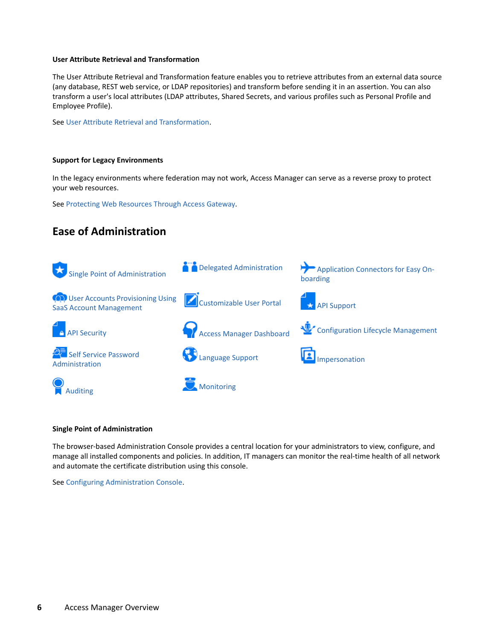### <span id="page-5-1"></span>**User Attribute Retrieval and Transformation**

The User Attribute Retrieval and Transformation feature enables you to retrieve attributes from an external data source (any database, REST web service, or LDAP repositories) and transform before sending it in an assertion. You can also transform a user's local attributes (LDAP attributes, Shared Secrets, and various profiles such as Personal Profile and Employee Profile).

See [User Attribute Retrieval and Transformation](https://www.microfocus.com/documentation/access-manager/5.0/pdfdoc/admin/admin.pdf#userattributeretrievalandtransformation).

### <span id="page-5-2"></span>**Support for Legacy Environments**

In the legacy environments where federation may not work, Access Manager can serve as a reverse proxy to protect your web resources.

See [Protecting Web Resources Through Access Gateway.](https://www.microfocus.com/documentation/access-manager/5.0/pdfdoc/admin/admin.pdf#b3q8q2k)

# <span id="page-5-0"></span>**Ease of Administration**



#### <span id="page-5-3"></span>**Single Point of Administration**

The browser-based Administration Console provides a central location for your administrators to view, configure, and manage all installed components and policies. In addition, IT managers can monitor the real-time health of all network and automate the certificate distribution using this console.

See [Configuring Administration Console.](https://www.microfocus.com/documentation/access-manager/5.0/pdfdoc/admin/admin.pdf#b137rc5s)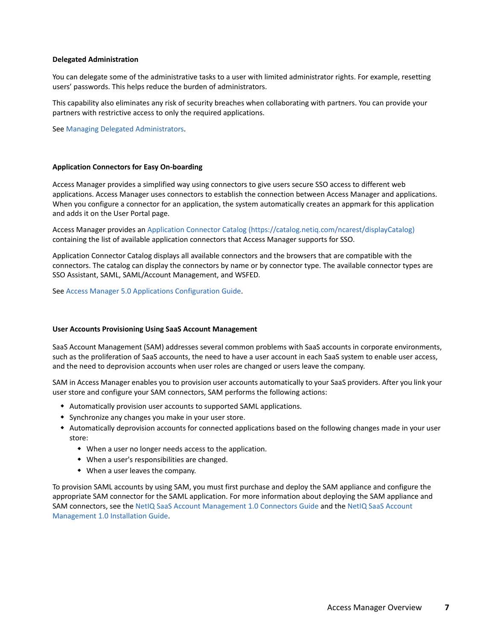#### <span id="page-6-0"></span>**Delegated Administration**

You can delegate some of the administrative tasks to a user with limited administrator rights. For example, resetting users' passwords. This helps reduce the burden of administrators.

This capability also eliminates any risk of security breaches when collaborating with partners. You can provide your partners with restrictive access to only the required applications.

See [Managing Delegated Administrators](https://www.microfocus.com/documentation/access-manager/5.0/pdfdoc/admin/admin.pdf#admins).

#### <span id="page-6-1"></span>**Application Connectors for Easy On-boarding**

Access Manager provides a simplified way using connectors to give users secure SSO access to different web applications. Access Manager uses connectors to establish the connection between Access Manager and applications. When you configure a connector for an application, the system automatically creates an appmark for this application and adds it on the User Portal page.

Access Manager provides an [Application Connector Catalog](https://catalog.netiq.com/ncarest/displayCatalog) (https://catalog.netiq.com/ncarest/displayCatalog) containing the list of available application connectors that Access Manager supports for SSO.

Application Connector Catalog displays all available connectors and the browsers that are compatible with the connectors. The catalog can display the connectors by name or by connector type. The available connector types are SSO Assistant, SAML, SAML/Account Management, and WSFED.

See [Access Manager 5.0 Applications Configuration Guide](https://www.microfocus.com/documentation/access-manager/5.0/pdfdoc/applications-configuration-guide/applications-configuration-guide.pdf#bookinfo).

#### <span id="page-6-2"></span>**User Accounts Provisioning Using SaaS Account Management**

SaaS Account Management (SAM) addresses several common problems with SaaS accounts in corporate environments, such as the proliferation of SaaS accounts, the need to have a user account in each SaaS system to enable user access, and the need to deprovision accounts when user roles are changed or users leave the company.

SAM in Access Manager enables you to provision user accounts automatically to your SaaS providers. After you link your user store and configure your SAM connectors, SAM performs the following actions:

- Automatically provision user accounts to supported SAML applications.
- Synchronize any changes you make in your user store.
- Automatically deprovision accounts for connected applications based on the following changes made in your user store:
	- When a user no longer needs access to the application.
	- When a user's responsibilities are changed.
	- When a user leaves the company.

To provision SAML accounts by using SAM, you must first purchase and deploy the SAM appliance and configure the appropriate SAM connector for the SAML application. For more information about deploying the SAM appliance and SAM connectors, see the [NetIQ SaaS Account Management 1.0 Connectors Guide](https://www.netiq.com/documentation/saas-account-management-10/sam-connectors/) and the [NetIQ SaaS Account](https://www.netiq.com/documentation/saas-account-management-10/sam-install/)  [Management 1.0 Installation Guide.](https://www.netiq.com/documentation/saas-account-management-10/sam-install/)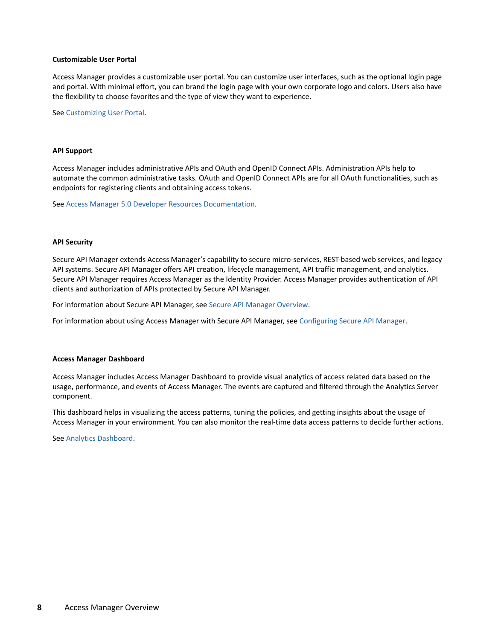#### <span id="page-7-0"></span>**Customizable User Portal**

Access Manager provides a customizable user portal. You can customize user interfaces, such as the optional login page and portal. With minimal effort, you can brand the login page with your own corporate logo and colors. Users also have the flexibility to choose favorites and the type of view they want to experience.

See [Customizing User Portal](https://www.microfocus.com/documentation/access-manager/5.0/pdfdoc/admin/admin.pdf#bok7icl).

#### <span id="page-7-1"></span>**API Support**

Access Manager includes administrative APIs and OAuth and OpenID Connect APIs. Administration APIs help to automate the common administrative tasks. OAuth and OpenID Connect APIs are for all OAuth functionalities, such as endpoints for registering clients and obtaining access tokens.

See [Access Manager 5.0 Developer Resources Documentation](https://www.microfocus.com/documentation/access-manager/developer-documentation-5.0/).

#### <span id="page-7-2"></span>**API Security**

Secure API Manager extends Access Manager's capability to secure micro-services, REST-based web services, and legacy API systems. Secure API Manager offers API creation, lifecycle management, API traffic management, and analytics. Secure API Manager requires Access Manager as the Identity Provider. Access Manager provides authentication of API clients and authorization of APIs protected by Secure API Manager.

For information about Secure API Manager, see [Secure API Manager Overview](https://www.microfocus.com/documentation/secure-api-manager/2-1/secure-api-manager-install/secure-api-manager-overview.html).

For information about using Access Manager with Secure API Manager, see [Configuring Secure API Manager.](https://www.microfocus.com/documentation/secure-api-manager/2-1/secure-api-manager-admin/configure.html)

#### <span id="page-7-3"></span>**Access Manager Dashboard**

Access Manager includes Access Manager Dashboard to provide visual analytics of access related data based on the usage, performance, and events of Access Manager. The events are captured and filtered through the Analytics Server component.

This dashboard helps in visualizing the access patterns, tuning the policies, and getting insights about the usage of Access Manager in your environment. You can also monitor the real-time data access patterns to decide further actions.

See [Analytics Dashboard.](https://www.microfocus.com/documentation/access-manager/5.0/pdfdoc/admin/admin.pdf#b1kyp92l)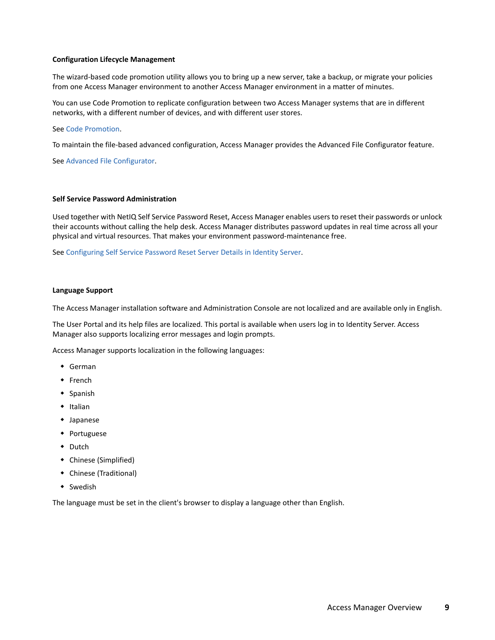#### <span id="page-8-0"></span>**Configuration Lifecycle Management**

The wizard-based code promotion utility allows you to bring up a new server, take a backup, or migrate your policies from one Access Manager environment to another Access Manager environment in a matter of minutes.

You can use Code Promotion to replicate configuration between two Access Manager systems that are in different networks, with a different number of devices, and with different user stores.

### See [Code Promotion](https://www.microfocus.com/documentation/access-manager/5.0/pdfdoc/admin/admin.pdf#codepromotion).

To maintain the file-based advanced configuration, Access Manager provides the Advanced File Configurator feature.

See [Advanced File Configurator](https://www.microfocus.com/documentation/access-manager/5.0/pdfdoc/admin/admin.pdf#advancedfileconfigurator).

### <span id="page-8-1"></span>**Self Service Password Administration**

Used together with NetIQ Self Service Password Reset, Access Manager enables users to reset their passwords or unlock their accounts without calling the help desk. Access Manager distributes password updates in real time across all your physical and virtual resources. That makes your environment password-maintenance free.

See [Configuring Self Service Password Reset Server Details in Identity Server](https://www.microfocus.com/documentation/access-manager/5.0/pdfdoc/admin/admin.pdf#configuringsspr).

#### <span id="page-8-2"></span>**Language Support**

The Access Manager installation software and Administration Console are not localized and are available only in English.

The User Portal and its help files are localized. This portal is available when users log in to Identity Server. Access Manager also supports localizing error messages and login prompts.

Access Manager supports localization in the following languages:

- German
- French
- $\bullet$  Spanish
- $\bullet$  Italian
- Japanese
- Portuguese
- Dutch
- Chinese (Simplified)
- Chinese (Traditional)
- Swedish

The language must be set in the client's browser to display a language other than English.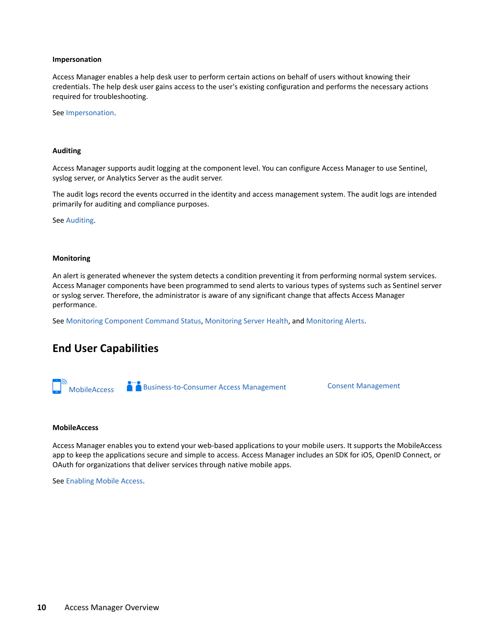#### <span id="page-9-1"></span>**Impersonation**

Access Manager enables a help desk user to perform certain actions on behalf of users without knowing their credentials. The help desk user gains access to the user's existing configuration and performs the necessary actions required for troubleshooting.

See [Impersonation](https://www.microfocus.com/documentation/access-manager/5.0/pdfdoc/admin/admin.pdf#impersonation).

#### <span id="page-9-2"></span>**Auditing**

Access Manager supports audit logging at the component level. You can configure Access Manager to use Sentinel, syslog server, or Analytics Server as the audit server.

The audit logs record the events occurred in the identity and access management system. The audit logs are intended primarily for auditing and compliance purposes.

See [Auditing.](https://www.microfocus.com/documentation/access-manager/5.0/pdfdoc/admin/admin.pdf#b137qem8)

#### <span id="page-9-3"></span>**Monitoring**

An alert is generated whenever the system detects a condition preventing it from performing normal system services. Access Manager components have been programmed to send alerts to various types of systems such as Sentinel server or syslog server. Therefore, the administrator is aware of any significant change that affects Access Manager performance.

See [Monitoring Component Command Status,](https://www.microfocus.com/documentation/access-manager/5.0/pdfdoc/admin/admin.pdf#b1b4p9t7) [Monitoring Server Health,](https://www.microfocus.com/documentation/access-manager/5.0/pdfdoc/admin/admin.pdf#b1b4p9t6) and [Monitoring Alerts.](https://www.microfocus.com/documentation/access-manager/5.0/pdfdoc/admin/admin.pdf#b1b4p9t8)

### <span id="page-9-0"></span>**End User Capabilities**

**Austine** [Business-to-Consumer Access Management](#page-10-0) [Consent Management](#page-10-1)

#### <span id="page-9-4"></span>**MobileAccess**

Access Manager enables you to extend your web-based applications to your mobile users. It supports the MobileAccess app to keep the applications secure and simple to access. Access Manager includes an SDK for iOS, OpenID Connect, or OAuth for organizations that deliver services through native mobile apps.

See [Enabling Mobile Access.](https://www.microfocus.com/documentation/access-manager/5.0/pdfdoc/admin/admin.pdf#mobileaccess)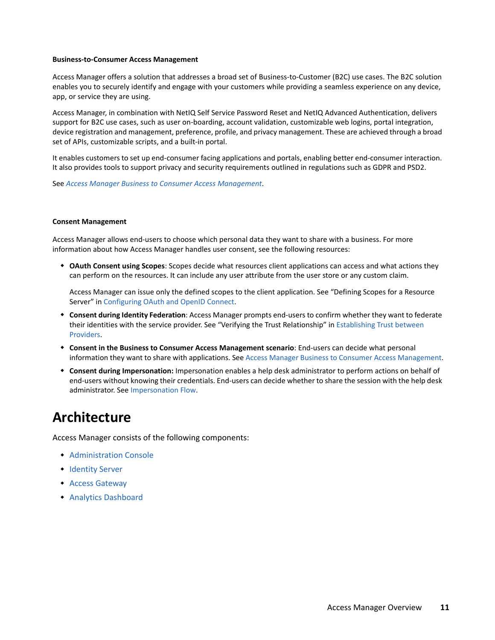#### <span id="page-10-0"></span>**Business-to-Consumer Access Management**

Access Manager offers a solution that addresses a broad set of Business-to-Customer (B2C) use cases. The B2C solution enables you to securely identify and engage with your customers while providing a seamless experience on any device, app, or service they are using.

Access Manager, in combination with NetIQ Self Service Password Reset and NetIQ Advanced Authentication, delivers support for B2C use cases, such as user on-boarding, account validation, customizable web logins, portal integration, device registration and management, preference, profile, and privacy management. These are achieved through a broad set of APIs, customizable scripts, and a built-in portal.

It enables customers to set up end-consumer facing applications and portals, enabling better end-consumer interaction. It also provides tools to support privacy and security requirements outlined in regulations such as GDPR and PSD2.

See *[Access Manager Business to Consumer Access Management](https://www.microfocus.com/documentation/access-manager/5.0/pdfdoc/b2c/b2c.pdf#accessmanagerb2c)*.

#### <span id="page-10-1"></span>**Consent Management**

Access Manager allows end-users to choose which personal data they want to share with a business. For more information about how Access Manager handles user consent, see the following resources:

 **OAuth Consent using Scopes**: Scopes decide what resources client applications can access and what actions they can perform on the resources. It can include any user attribute from the user store or any custom claim.

Access Manager can issue only the defined scopes to the client application. See "Defining Scopes for a Resource Server" in [Configuring OAuth and OpenID Connect.](https://www.microfocus.com/documentation/access-manager/5.0/pdfdoc/admin/admin.pdf#t46a7mqa8lti)

- **Consent during Identity Federation**: Access Manager prompts end-users to confirm whether they want to federate their identities with the service provider. See "Verifying the Trust Relationship" in [Establishing Trust between](https://www.microfocus.com/documentation/access-manager/5.0/pdfdoc/admin/admin.pdf#be1k2j6)  [Providers.](https://www.microfocus.com/documentation/access-manager/5.0/pdfdoc/admin/admin.pdf#be1k2j6)
- **Consent in the Business to Consumer Access Management scenario**: End-users can decide what personal information they want to share with applications. See [Access Manager Business to Consumer Access Management](https://www.microfocus.com/documentation/access-manager/5.0/pdfdoc/b2c/b2c.pdf#accessmanagerb2c).
- **Consent during Impersonation:** Impersonation enables a help desk administrator to perform actions on behalf of end-users without knowing their credentials. End-users can decide whether to share the session with the help desk administrator. See [Impersonation Flow](https://www.microfocus.com/documentation/access-manager/5.0/pdfdoc/admin/admin.pdf#b1md0fsh).

# **Architecture**

Access Manager consists of the following components:

- **[Administration Console](#page-11-0)**
- **+ [Identity Server](#page-12-0)**
- [Access Gateway](#page-12-1)
- [Analytics Dashboard](#page-13-0)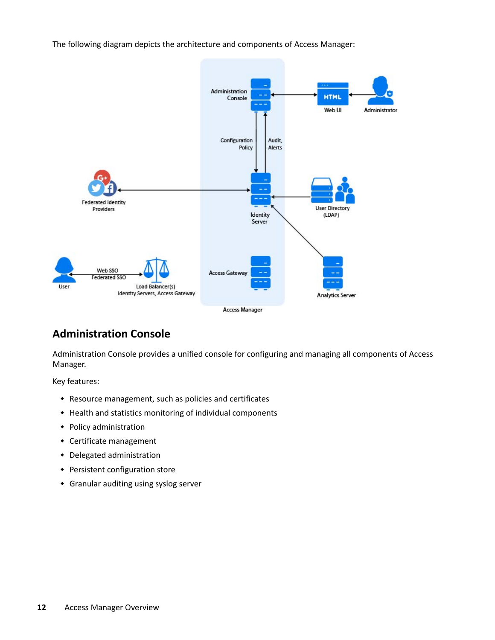The following diagram depicts the architecture and components of Access Manager:



### <span id="page-11-0"></span>**Administration Console**

Administration Console provides a unified console for configuring and managing all components of Access Manager.

Key features:

- Resource management, such as policies and certificates
- Health and statistics monitoring of individual components
- Policy administration
- Certificate management
- Delegated administration
- Persistent configuration store
- Granular auditing using syslog server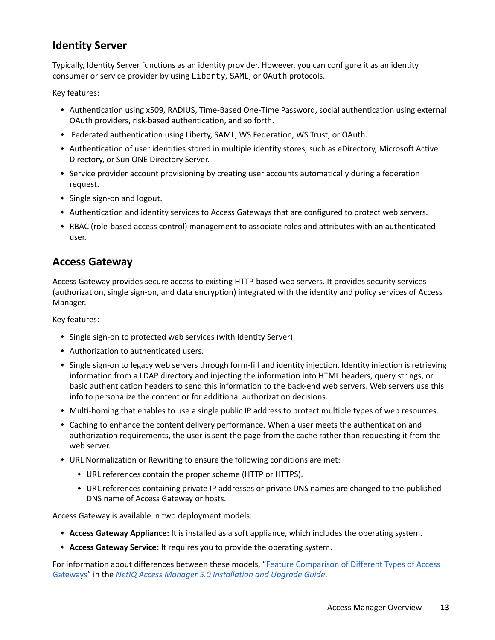# <span id="page-12-0"></span>**Identity Server**

Typically, Identity Server functions as an identity provider. However, you can configure it as an identity consumer or service provider by using Liberty, SAML, or OAuth protocols.

Key features:

- Authentication using x509, RADIUS, Time-Based One-Time Password, social authentication using external OAuth providers, risk-based authentication, and so forth.
- Federated authentication using Liberty, SAML, WS Federation, WS Trust, or OAuth.
- Authentication of user identities stored in multiple identity stores, such as eDirectory, Microsoft Active Directory, or Sun ONE Directory Server.
- \* Service provider account provisioning by creating user accounts automatically during a federation request.
- Single sign-on and logout.
- Authentication and identity services to Access Gateways that are configured to protect web servers.
- RBAC (role-based access control) management to associate roles and attributes with an authenticated user.

### <span id="page-12-1"></span>**Access Gateway**

Access Gateway provides secure access to existing HTTP-based web servers. It provides security services (authorization, single sign-on, and data encryption) integrated with the identity and policy services of Access Manager.

Key features:

- Single sign-on to protected web services (with Identity Server).
- Authorization to authenticated users.
- Single sign-on to legacy web servers through form-fill and identity injection. Identity injection is retrieving information from a LDAP directory and injecting the information into HTML headers, query strings, or basic authentication headers to send this information to the back-end web servers. Web servers use this info to personalize the content or for additional authorization decisions.
- Multi-homing that enables to use a single public IP address to protect multiple types of web resources.
- Caching to enhance the content delivery performance. When a user meets the authentication and authorization requirements, the user is sent the page from the cache rather than requesting it from the web server.
- URL Normalization or Rewriting to ensure the following conditions are met:
	- URL references contain the proper scheme (HTTP or HTTPS).
	- URL references containing private IP addresses or private DNS names are changed to the published DNS name of Access Gateway or hosts.

Access Gateway is available in two deployment models:

- **Access Gateway Appliance:** It is installed as a soft appliance, which includes the operating system.
- **Access Gateway Service:** It requires you to provide the operating system.

For information about differences between these models, ["Feature Comparison of Different Types of Access](https://www.microfocus.com/documentation/access-manager/5.0/pdfdoc/install_upgrade/install_upgrade.pdf#bz2olhd)  [Gateways](https://www.microfocus.com/documentation/access-manager/5.0/pdfdoc/install_upgrade/install_upgrade.pdf#bz2olhd)" in the *[NetIQ Access Manager 5.0 Installation and Upgrade Guide](https://www.microfocus.com/documentation/access-manager/5.0/pdfdoc/install_upgrade/install_upgrade.pdf#bookinfo)*.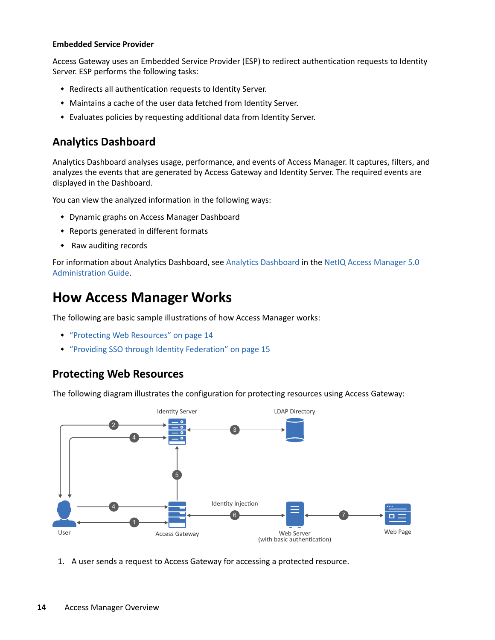### **Embedded Service Provider**

Access Gateway uses an Embedded Service Provider (ESP) to redirect authentication requests to Identity Server. ESP performs the following tasks:

- Redirects all authentication requests to Identity Server.
- Maintains a cache of the user data fetched from Identity Server.
- Evaluates policies by requesting additional data from Identity Server.

# <span id="page-13-0"></span>**Analytics Dashboard**

Analytics Dashboard analyses usage, performance, and events of Access Manager. It captures, filters, and analyzes the events that are generated by Access Gateway and Identity Server. The required events are displayed in the Dashboard.

You can view the analyzed information in the following ways:

- Dynamic graphs on Access Manager Dashboard
- Reports generated in different formats
- Raw auditing records

For information about Analytics Dashboard, see [Analytics Dashboard](https://www.microfocus.com/documentation/access-manager/5.0/pdfdoc/admin/admin.pdf#b1kyp92l) in the [NetIQ Access Manager 5.0](https://www.microfocus.com/documentation/access-manager/5.0/pdfdoc/admin/admin.pdf#bookinfo)  [Administration Guide](https://www.microfocus.com/documentation/access-manager/5.0/pdfdoc/admin/admin.pdf#bookinfo).

# **How Access Manager Works**

The following are basic sample illustrations of how Access Manager works:

- ["Protecting Web Resources" on page 14](#page-13-1)
- ["Providing SSO through Identity Federation" on page 15](#page-14-0)

### <span id="page-13-1"></span>**Protecting Web Resources**

The following diagram illustrates the configuration for protecting resources using Access Gateway:



1. A user sends a request to Access Gateway for accessing a protected resource.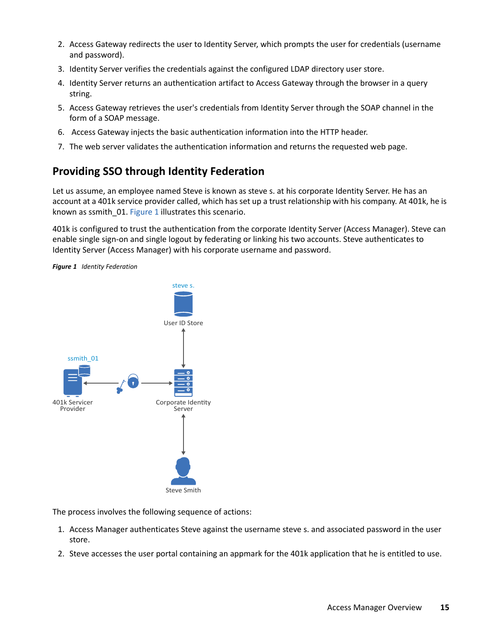- 2. Access Gateway redirects the user to Identity Server, which prompts the user for credentials (username and password).
- 3. Identity Server verifies the credentials against the configured LDAP directory user store.
- 4. Identity Server returns an authentication artifact to Access Gateway through the browser in a query string.
- 5. Access Gateway retrieves the user's credentials from Identity Server through the SOAP channel in the form of a SOAP message.
- 6. Access Gateway injects the basic authentication information into the HTTP header.
- 7. The web server validates the authentication information and returns the requested web page.

# <span id="page-14-0"></span>**Providing SSO through Identity Federation**

Let us assume, an employee named Steve is known as steve s. at his corporate Identity Server. He has an account at a 401k service provider called, which has set up a trust relationship with his company. At 401k, he is known as ssmith 01. [Figure 1](#page-14-1) illustrates this scenario.

401k is configured to trust the authentication from the corporate Identity Server (Access Manager). Steve can enable single sign-on and single logout by federating or linking his two accounts. Steve authenticates to Identity Server (Access Manager) with his corporate username and password.

<span id="page-14-1"></span>*Figure 1 Identity Federation*



The process involves the following sequence of actions:

- 1. Access Manager authenticates Steve against the username steve s. and associated password in the user store.
- 2. Steve accesses the user portal containing an appmark for the 401k application that he is entitled to use.